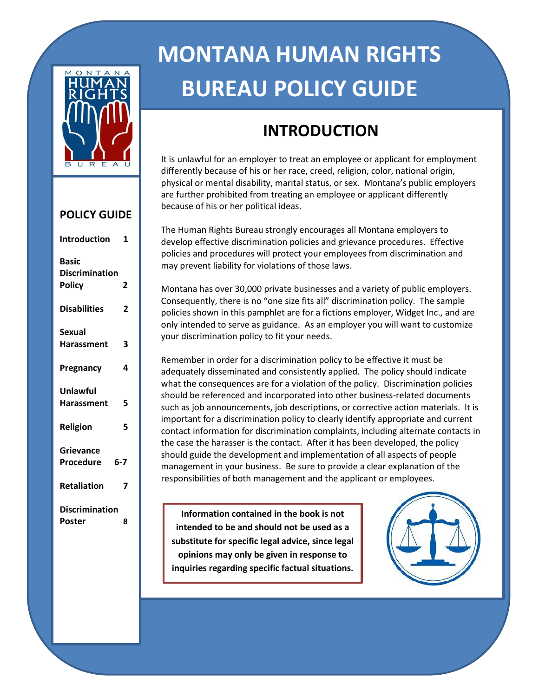

# **POLICY GUIDE**

| Introduction                                           | 1       |
|--------------------------------------------------------|---------|
| <b>Basic</b><br><b>Discrimination</b><br><b>Policy</b> | 2       |
| <b>Disabilities</b>                                    | 2       |
| Sexual                                                 |         |
| <b>Harassment</b>                                      | 3       |
| Pregnancy                                              | 4       |
| Unlawful                                               |         |
| <b>Harassment</b>                                      | 5       |
| Religion                                               | 5       |
| Grievance                                              |         |
| Procedure                                              | $6 - 7$ |
| <b>Retaliation</b>                                     | 7       |
| <b>Discrimination</b>                                  |         |
| Poster                                                 | 8       |
|                                                        |         |

# **MONTANA HUMAN RIGHTS BUREAU POLICY GUIDE**

# **INTRODUCTION**

It is unlawful for an employer to treat an employee or applicant for employment differently because of his or her race, creed, religion, color, national origin, physical or mental disability, marital status, or sex. Montana's public employers are further prohibited from treating an employee or applicant differently because of his or her political ideas.

The Human Rights Bureau strongly encourages all Montana employers to develop effective discrimination policies and grievance procedures. Effective policies and procedures will protect your employees from discrimination and may prevent liability for violations of those laws.

Montana has over 30,000 private businesses and a variety of public employers. Consequently, there is no "one size fits all" discrimination policy. The sample policies shown in this pamphlet are for a fictions employer, Widget Inc., and are only intended to serve as guidance. As an employer you will want to customize your discrimination policy to fit your needs.

Remember in order for a discrimination policy to be effective it must be adequately disseminated and consistently applied. The policy should indicate what the consequences are for a violation of the policy. Discrimination policies should be referenced and incorporated into other business-related documents such as job announcements, job descriptions, or corrective action materials. It is important for a discrimination policy to clearly identify appropriate and current contact information for discrimination complaints, including alternate contacts in the case the harasser is the contact. After it has been developed, the policy should guide the development and implementation of all aspects of people management in your business. Be sure to provide a clear explanation of the responsibilities of both management and the applicant or employees.

**Information contained in the book is not intended to be and should not be used as a substitute for specific legal advice, since legal opinions may only be given in response to inquiries regarding specific factual situations.**

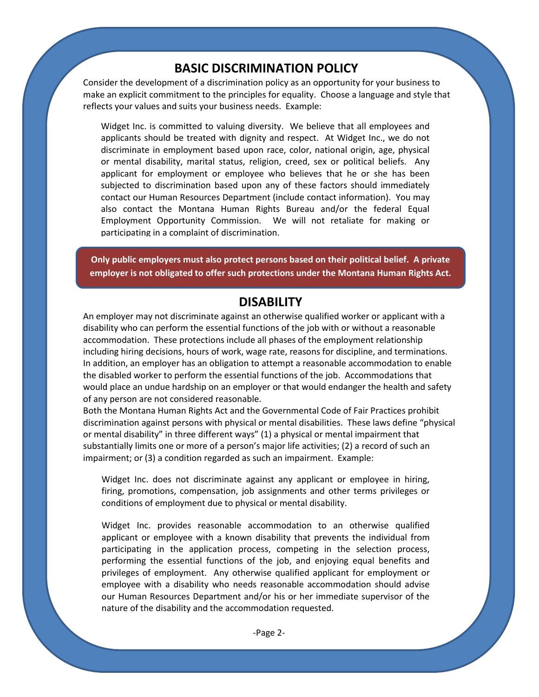# **BASIC DISCRIMINATION POLICY**

Consider the development of a discrimination policy as an opportunity for your business to make an explicit commitment to the principles for equality. Choose a language and style that reflects your values and suits your business needs. Example:

Widget Inc. is committed to valuing diversity. We believe that all employees and applicants should be treated with dignity and respect. At Widget Inc., we do not discriminate in employment based upon race, color, national origin, age, physical or mental disability, marital status, religion, creed, sex or political beliefs. Any applicant for employment or employee who believes that he or she has been subjected to discrimination based upon any of these factors should immediately contact our Human Resources Department (include contact information). You may also contact the Montana Human Rights Bureau and/or the federal Equal Employment Opportunity Commission. We will not retaliate for making or participating in a complaint of discrimination.

**Only public employers must also protect persons based on their political belief. A private employer is not obligated to offer such protections under the Montana Human Rights Act.**

## **DISABILITY**

An employer may not discriminate against an otherwise qualified worker or applicant with a disability who can perform the essential functions of the job with or without a reasonable accommodation. These protections include all phases of the employment relationship including hiring decisions, hours of work, wage rate, reasons for discipline, and terminations. In addition, an employer has an obligation to attempt a reasonable accommodation to enable the disabled worker to perform the essential functions of the job. Accommodations that would place an undue hardship on an employer or that would endanger the health and safety of any person are not considered reasonable.

Both the Montana Human Rights Act and the Governmental Code of Fair Practices prohibit discrimination against persons with physical or mental disabilities. These laws define "physical or mental disability" in three different ways" (1) a physical or mental impairment that substantially limits one or more of a person's major life activities; (2) a record of such an impairment; or (3) a condition regarded as such an impairment. Example:

Widget Inc. does not discriminate against any applicant or employee in hiring, firing, promotions, compensation, job assignments and other terms privileges or conditions of employment due to physical or mental disability.

Widget Inc. provides reasonable accommodation to an otherwise qualified applicant or employee with a known disability that prevents the individual from participating in the application process, competing in the selection process, performing the essential functions of the job, and enjoying equal benefits and privileges of employment. Any otherwise qualified applicant for employment or employee with a disability who needs reasonable accommodation should advise our Human Resources Department and/or his or her immediate supervisor of the nature of the disability and the accommodation requested.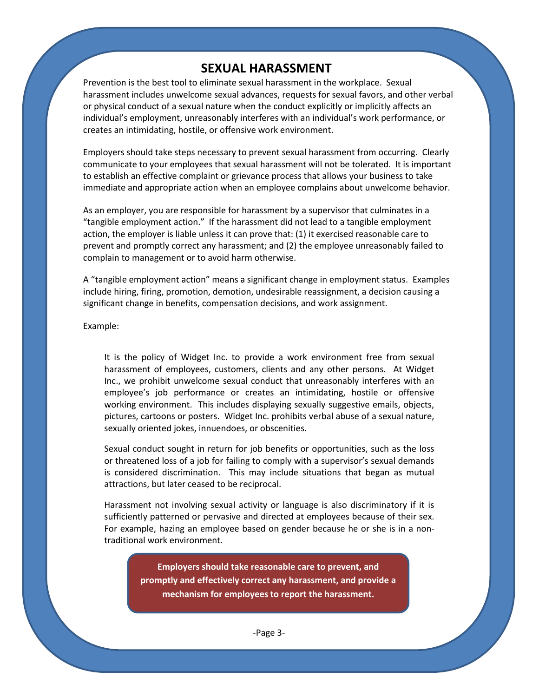# **SEXUAL HARASSMENT**

Prevention is the best tool to eliminate sexual harassment in the workplace. Sexual harassment includes unwelcome sexual advances, requests for sexual favors, and other verbal or physical conduct of a sexual nature when the conduct explicitly or implicitly affects an individual's employment, unreasonably interferes with an individual's work performance, or creates an intimidating, hostile, or offensive work environment.

Employers should take steps necessary to prevent sexual harassment from occurring. Clearly communicate to your employees that sexual harassment will not be tolerated. It is important to establish an effective complaint or grievance process that allows your business to take immediate and appropriate action when an employee complains about unwelcome behavior.

As an employer, you are responsible for harassment by a supervisor that culminates in a "tangible employment action." If the harassment did not lead to a tangible employment action, the employer is liable unless it can prove that: (1) it exercised reasonable care to prevent and promptly correct any harassment; and (2) the employee unreasonably failed to complain to management or to avoid harm otherwise.

A "tangible employment action" means a significant change in employment status. Examples include hiring, firing, promotion, demotion, undesirable reassignment, a decision causing a significant change in benefits, compensation decisions, and work assignment.

Example:

It is the policy of Widget Inc. to provide a work environment free from sexual harassment of employees, customers, clients and any other persons. At Widget Inc., we prohibit unwelcome sexual conduct that unreasonably interferes with an employee's job performance or creates an intimidating, hostile or offensive working environment. This includes displaying sexually suggestive emails, objects, pictures, cartoons or posters. Widget Inc. prohibits verbal abuse of a sexual nature, sexually oriented jokes, innuendoes, or obscenities.

Sexual conduct sought in return for job benefits or opportunities, such as the loss or threatened loss of a job for failing to comply with a supervisor's sexual demands is considered discrimination. This may include situations that began as mutual attractions, but later ceased to be reciprocal.

Harassment not involving sexual activity or language is also discriminatory if it is sufficiently patterned or pervasive and directed at employees because of their sex. For example, hazing an employee based on gender because he or she is in a nontraditional work environment.

> **Employers should take reasonable care to prevent, and promptly and effectively correct any harassment, and provide a mechanism for employees to report the harassment.**

> > -Page 3-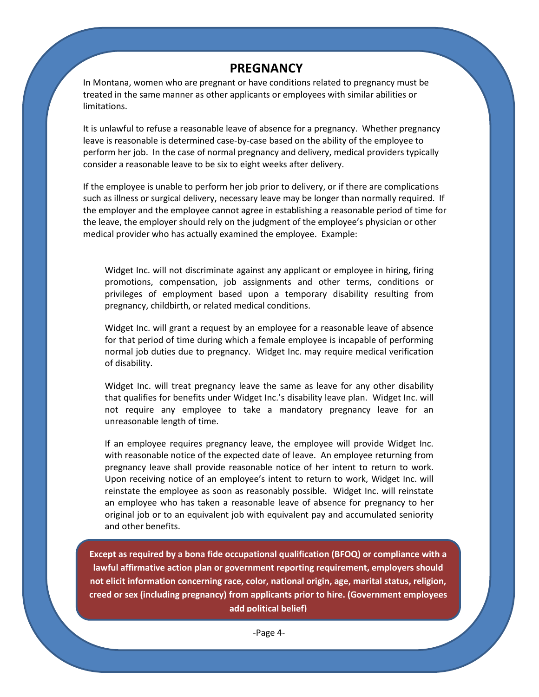# **PREGNANCY**

In Montana, women who are pregnant or have conditions related to pregnancy must be treated in the same manner as other applicants or employees with similar abilities or limitations.

It is unlawful to refuse a reasonable leave of absence for a pregnancy. Whether pregnancy leave is reasonable is determined case-by-case based on the ability of the employee to perform her job. In the case of normal pregnancy and delivery, medical providers typically consider a reasonable leave to be six to eight weeks after delivery.

If the employee is unable to perform her job prior to delivery, or if there are complications such as illness or surgical delivery, necessary leave may be longer than normally required. If the employer and the employee cannot agree in establishing a reasonable period of time for the leave, the employer should rely on the judgment of the employee's physician or other medical provider who has actually examined the employee. Example:

Widget Inc. will not discriminate against any applicant or employee in hiring, firing promotions, compensation, job assignments and other terms, conditions or privileges of employment based upon a temporary disability resulting from pregnancy, childbirth, or related medical conditions.

Widget Inc. will grant a request by an employee for a reasonable leave of absence for that period of time during which a female employee is incapable of performing normal job duties due to pregnancy. Widget Inc. may require medical verification of disability.

Widget Inc. will treat pregnancy leave the same as leave for any other disability that qualifies for benefits under Widget Inc.'s disability leave plan. Widget Inc. will not require any employee to take a mandatory pregnancy leave for an unreasonable length of time.

If an employee requires pregnancy leave, the employee will provide Widget Inc. with reasonable notice of the expected date of leave. An employee returning from pregnancy leave shall provide reasonable notice of her intent to return to work. Upon receiving notice of an employee's intent to return to work, Widget Inc. will reinstate the employee as soon as reasonably possible. Widget Inc. will reinstate an employee who has taken a reasonable leave of absence for pregnancy to her original job or to an equivalent job with equivalent pay and accumulated seniority and other benefits.

**Except as required by a bona fide occupational qualification (BFOQ) or compliance with a lawful affirmative action plan or government reporting requirement, employers should not elicit information concerning race, color, national origin, age, marital status, religion, creed or sex (including pregnancy) from applicants prior to hire. (Government employees add political belief)**

-Page 4-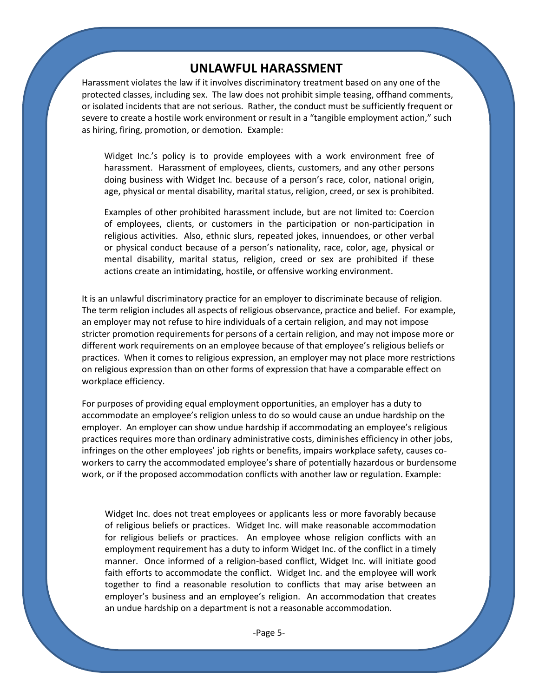# **UNLAWFUL HARASSMENT**

Harassment violates the law if it involves discriminatory treatment based on any one of the protected classes, including sex. The law does not prohibit simple teasing, offhand comments, or isolated incidents that are not serious. Rather, the conduct must be sufficiently frequent or severe to create a hostile work environment or result in a "tangible employment action," such as hiring, firing, promotion, or demotion. Example:

Widget Inc.'s policy is to provide employees with a work environment free of harassment. Harassment of employees, clients, customers, and any other persons doing business with Widget Inc. because of a person's race, color, national origin, age, physical or mental disability, marital status, religion, creed, or sex is prohibited.

Examples of other prohibited harassment include, but are not limited to: Coercion of employees, clients, or customers in the participation or non-participation in religious activities. Also, ethnic slurs, repeated jokes, innuendoes, or other verbal or physical conduct because of a person's nationality, race, color, age, physical or mental disability, marital status, religion, creed or sex are prohibited if these actions create an intimidating, hostile, or offensive working environment.

It is an unlawful discriminatory practice for an employer to discriminate because of religion. The term religion includes all aspects of religious observance, practice and belief. For example, an employer may not refuse to hire individuals of a certain religion, and may not impose stricter promotion requirements for persons of a certain religion, and may not impose more or different work requirements on an employee because of that employee's religious beliefs or practices. When it comes to religious expression, an employer may not place more restrictions on religious expression than on other forms of expression that have a comparable effect on workplace efficiency.

For purposes of providing equal employment opportunities, an employer has a duty to accommodate an employee's religion unless to do so would cause an undue hardship on the employer. An employer can show undue hardship if accommodating an employee's religious practices requires more than ordinary administrative costs, diminishes efficiency in other jobs, infringes on the other employees' job rights or benefits, impairs workplace safety, causes coworkers to carry the accommodated employee's share of potentially hazardous or burdensome work, or if the proposed accommodation conflicts with another law or regulation. Example:

Widget Inc. does not treat employees or applicants less or more favorably because of religious beliefs or practices. Widget Inc. will make reasonable accommodation for religious beliefs or practices. An employee whose religion conflicts with an employment requirement has a duty to inform Widget Inc. of the conflict in a timely manner. Once informed of a religion-based conflict, Widget Inc. will initiate good faith efforts to accommodate the conflict. Widget Inc. and the employee will work together to find a reasonable resolution to conflicts that may arise between an employer's business and an employee's religion. An accommodation that creates an undue hardship on a department is not a reasonable accommodation.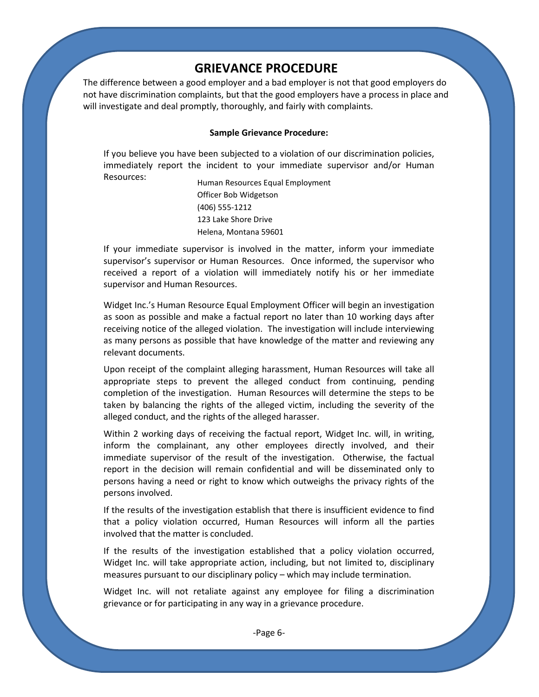# **GRIEVANCE PROCEDURE**

The difference between a good employer and a bad employer is not that good employers do not have discrimination complaints, but that the good employers have a process in place and will investigate and deal promptly, thoroughly, and fairly with complaints.

#### **Sample Grievance Procedure:**

If you believe you have been subjected to a violation of our discrimination policies, immediately report the incident to your immediate supervisor and/or Human Resources:

Human Resources Equal Employment Officer Bob Widgetson (406) 555-1212 123 Lake Shore Drive Helena, Montana 59601

If your immediate supervisor is involved in the matter, inform your immediate supervisor's supervisor or Human Resources. Once informed, the supervisor who received a report of a violation will immediately notify his or her immediate supervisor and Human Resources.

Widget Inc.'s Human Resource Equal Employment Officer will begin an investigation as soon as possible and make a factual report no later than 10 working days after receiving notice of the alleged violation. The investigation will include interviewing as many persons as possible that have knowledge of the matter and reviewing any relevant documents.

Upon receipt of the complaint alleging harassment, Human Resources will take all appropriate steps to prevent the alleged conduct from continuing, pending completion of the investigation. Human Resources will determine the steps to be taken by balancing the rights of the alleged victim, including the severity of the alleged conduct, and the rights of the alleged harasser.

Within 2 working days of receiving the factual report, Widget Inc. will, in writing, inform the complainant, any other employees directly involved, and their immediate supervisor of the result of the investigation. Otherwise, the factual report in the decision will remain confidential and will be disseminated only to persons having a need or right to know which outweighs the privacy rights of the persons involved.

If the results of the investigation establish that there is insufficient evidence to find that a policy violation occurred, Human Resources will inform all the parties involved that the matter is concluded.

If the results of the investigation established that a policy violation occurred, Widget Inc. will take appropriate action, including, but not limited to, disciplinary measures pursuant to our disciplinary policy – which may include termination.

Widget Inc. will not retaliate against any employee for filing a discrimination grievance or for participating in any way in a grievance procedure.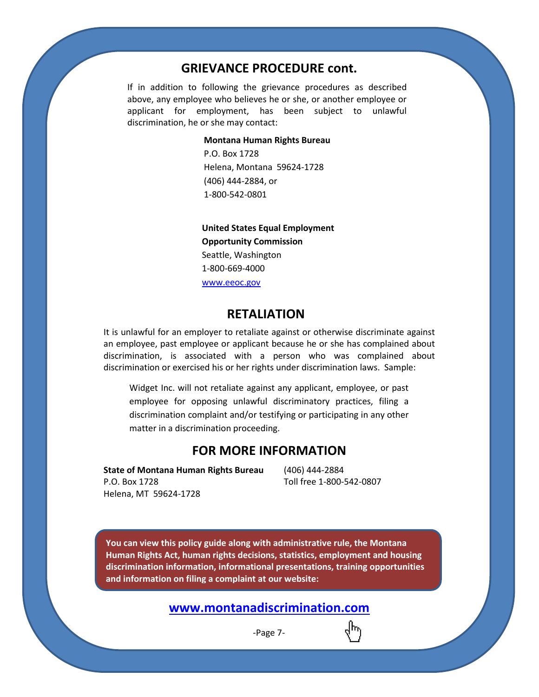# **GRIEVANCE PROCEDURE cont.**

If in addition to following the grievance procedures as described above, any employee who believes he or she, or another employee or applicant for employment, has been subject to unlawful discrimination, he or she may contact:

#### **Montana Human Rights Bureau**

P.O. Box 1728 Helena, Montana 59624-1728 (406) 444-2884, or 1-800-542-0801

**Opportunity Commission United States Equal Employment**  Seattle, Washington 1-800-669-4000 [www.eeoc.gov](http://www.eeoc.gov/)

## **RETALIATION**

It is unlawful for an employer to retaliate against or otherwise discriminate against an employee, past employee or applicant because he or she has complained about discrimination, is associated with a person who was complained about discrimination or exercised his or her rights under discrimination laws. Sample:

Widget Inc. will not retaliate against any applicant, employee, or past employee for opposing unlawful discriminatory practices, filing a discrimination complaint and/or testifying or participating in any other matter in a discrimination proceeding.

# **FOR MORE INFORMATION**

**State of Montana Human Rights Bureau** P.O. Box 1728 Helena, MT 59624-1728

(406) 444-2884 Toll free 1-800-542-0807

**You can view this policy guide along with administrative rule, the Montana Human Rights Act, human rights decisions, statistics, employment and housing discrimination information, informational presentations, training opportunities and information on filing a complaint at our website:**

# **[www.montanadiscrimination.com](http://www.montanadiscrimination.com/)**

-Page 7-